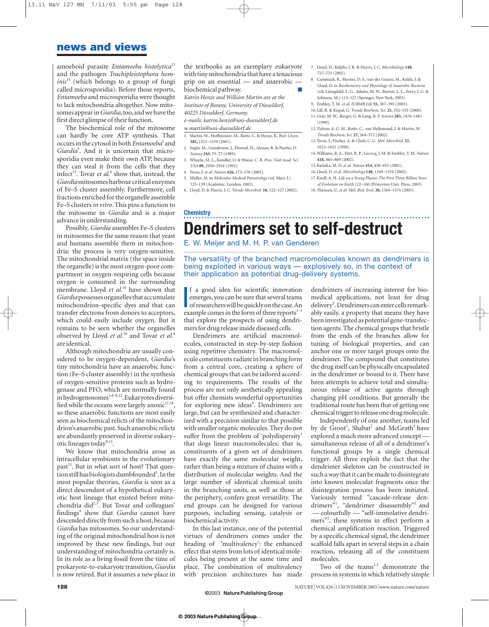## **news and views**

amoeboid parasite *Entamoeba histolytica*<sup>13</sup> and the pathogen *Trachipleistophora hominis*<sup>14</sup> (which belongs to a group of fungi called microsporidia). Before those reports, *Entamoeba* and microsporidia were thought to lack mitochondria altogether. Now mitosomes appear in *Giardia*,too,and we have the first direct glimpse of their function.

The biochemical role of the mitosome can hardly be core ATP synthesis. That occurs in the cytosol in both *Entamoeba*<sup>5</sup> and Giardia<sup>5</sup>. And it is uncertain that microsporidia even make their own ATP, because they can steal it from the cells that they infect<sup>15</sup>. Tovar *et al.*<sup>4</sup> show that, instead, the *Giardia*mitosomes harbour critical enzymes of Fe–S cluster assembly. Furthermore, cell fractions enriched for the organelle assemble Fe–S clusters *in vitro*. This pins a function to the mitosome in *Giardia* and is a major advance in understanding.

Possibly, *Giardia* assembles Fe–S clusters in mitosomes for the same reason that yeast and humans assemble them in mitochondria: the process is very oxygen-sensitive. The mitochondrial matrix (the space inside the organelle) is the most oxygen-poor compartment in oxygen-respiring cells because oxygen is consumed in the surrounding membrane. Lloyd *et al.*<sup>16</sup> have shown that *Giardia*possesses organelles that accumulate mitochondrion-specific dyes and that can transfer electrons from donors to acceptors, which could easily include oxygen. But it remains to be seen whether the organelles observed by Lloyd *et al.*<sup>16</sup> and Tovar *et al.*<sup>4</sup> are identical.

Although mitochondria are usually considered to be oxygen-dependent, *Giardia*'s tiny mitochondria have an anaerobic function (Fe–S cluster assembly) in the synthesis of oxygen-sensitive proteins such as hydrogenase and PFO, which are normally found in hydrogenosomes<sup>1,4–9,12</sup>. Eukaryotes diversified while the oceans were largely anoxic $17,18$ , so these anaerobic functions are most easily seen as biochemical relicts of the mitochondrion's anaerobic past.Such anaerobic relicts are abundantly preserved in diverse eukaryotic lineages today<sup>9,12</sup>.

We know that mitochondria arose as intracellular symbionts in the evolutionary past<sup>11</sup>. But in what sort of host? That question still has biologists dumbfounded<sup>1</sup>. In the most popular theories, *Giardia* is seen as a direct descendant of a hypothetical eukaryotic host lineage that existed before mitochondria did $^{2,3}$ . But Tovar and colleagues' findings4 show that *Giardia* cannot have descended directly from such a host, because *Giardia* has mitosomes. So our understanding of the original mitochondrial host is not improved by these new findings, but our understanding of mitochondria certainly is. In its role as a living fossil from the time of prokaryote-to-eukaryote transition,*Giardia* is now retired. But it assumes a new place in

the textbooks as an exemplary eukaryote with tiny mitochondria that have a tenacious grip on an essential — and anaerobic biochemical pathway.

*Katrin Henze and William Martin are at the Institute of Botany, University of Düsseldorf, 40225 Düsseldorf, Germany.*

*e-mails: katrin.henze@uni-duesseldorf.de*

#### *w.martin@uni-duesseldorf.de*

- 1. Martin, W., Hoffmeister, M., Rotte, C. & Henze, K. *Biol. Chem.* **382,** 1521–1539 (2001).
- 2. Sogin, M., Gunderson, J., Elwood, H., Alonso, R. & Peattie, D. *Science* **243,** 75–77 (1989).
- 3. Wheelis, M. L., Kandler, O. & Woese, C. R. *Proc. Natl Acad. Sci. USA* **89,** 2930–2934 (1992).
- 4. Tovar, J. *et al. Nature* **426,** 172–176 (2003).
- 5. Müller, M. in *Molecular Medical Parasitology* (ed. Marr, J.) 125–139 (Academic, London, 2003).
- 6. Lloyd, D. & Harris, J. C. *Trends Microbiol.* **10,** 122–127 (2002).
- 7. Lloyd, D., Ralphs, J. R. & Harris, J. C. *Microbiology* **148,** 727–733 (2002).
- 8. Cammack, R., Horner, D. S., van der Giezen, M., Kulda, J. & Lloyd, D. in *Biochemistry and Physiology of Anaerobic Bacteria* (eds Ljungdahl, L. G., Adams, M. W., Barton, L. L., Ferry, J. G. & Johnson, M.) 113–127 (Springer, New York, 2003).

9. Embley, T. M. *et al. IUBMB Life* **55,** 387–395 (2003). 10.Lill, R. & Kispal, G. *Trends Biochem. Sci.* **25,** 352–355 (2000). 11.Gray, M. W., Burger, G. & Lang, B. F. *Science* **283,** 1476–1481 (1999).

- 12.Tielens, A. G. M., Rotte, C., van Hellemond, J. & Martin, W. *Trends Biochem. Sci.* **27,** 564–572 (2002).
- 13.Tovar, J., Fischer, A. & Clark, C. G. *Mol. Microbiol.* **32,** 1013–1021 (1999).
- 14.Williams, B. A., Hirt, R. P., Lucocq, J. M. & Embley, T. M. *Nature* **418,** 865–869 (2002).
- 15.Katinka, M. D. *et al. Nature* **414,** 450–453 (2001).
- 16.Lloyd, D. *et al. Microbiology* **148,** 1349–1354 (2002).
- 17.Knoll, A. H. *Life on a Young Planet: The First Three Billion Years of Evolution on Earth* 122–160 (Princeton Univ. Press, 2003).
- 18.Theissen, U. *et al. Mol. Biol. Evol.* **20,** 1564–1574 (2003).

## **Chemistry Dendrimers set to self-destruct**

E. W. Meijer and M. H. P. van Genderen

The versatility of the branched macromolecules known as dendrimers is being exploited in various ways — explosively so, in the context of their application as potential drug-delivery systems.

 $\int$  f a good idea for scientific innovation<br>emerges, you can be sure that several teams<br>of researchers will be quickly on the case. An<br>example comes in the form of three reports<sup>1-3</sup> f a good idea for scientific innovation emerges, you can be sure that several teams of researchers will be quickly on the case.An that explore the prospects of using dendrimers for drug release inside diseased cells.

Dendrimers are artificial macromolecules, constructed in step-by-step fashion using repetitive chemistry. The macromolecule constituents radiate in branching form from a central core, creating a sphere of chemical groups that can be tailored according to requirements. The results of the process are not only aesthetically appealing but offer chemists wonderful opportunities for exploring new ideas<sup>4</sup>. Dendrimers are large, but can be synthesized and characterized with a precision similar to that possible with smaller organic molecules. They do not suffer from the problem of 'polydispersity' that dogs linear macromolecules: that is, constituents of a given set of dendrimers have exactly the same molecular weight, rather than being a mixture of chains with a distribution of molecular weights. And the large number of identical chemical units in the branching units, as well as those at the periphery, confers great versatility. The end groups can be designed for various purposes, including sensing, catalysis or biochemical activity.

In this last instance, one of the potential virtues of dendrimers comes under the heading of 'multivalency': the enhanced effect that stems from lots of identical molecules being present at the same time and place. The combination of multivalency with precision architectures has made

dendrimers of increasing interest for biomedical applications, not least for drug delivery<sup>5</sup>. Dendrimers can enter cells remarkably easily, a property that means they have been investigated as potential gene-transfection agents. The chemical groups that bristle from the ends of the branches allow for tuning of biological properties, and can anchor one or more target groups onto the dendrimer. The compound that constitutes the drug itself can be physically encapsulated in the dendrimer or bound to it. There have been attempts to achieve total and simultaneous release of active agents through changing pH conditions. But generally the traditional route has been that of getting one chemical trigger to release one drug molecule.

Independently of one another, teams led by de Groot<sup>1</sup>, Shabat<sup>2</sup> and McGrath<sup>3</sup> have explored a much more advanced concept simultaneous release of all of a dendrimer's functional groups by a single chemical trigger. All three exploit the fact that the dendrimer skeleton can be constructed in such a way that it can be made to disintegrate into known molecular fragments once the disintegration process has been initiated. Variously termed "cascade-release dendrimers"<sup>1</sup>, "dendrimer disassembly"<sup>3</sup> and — colourfully — "self-immolative dendrimers"<sup>2</sup>, these systems in effect perform a chemical amplification reaction. Triggered by a specific chemical signal, the dendrimer scaffold falls apart in several steps in a chain reaction, releasing all of the constituent molecules.

Two of the teams $2,3$  demonstrate the process in systems in which relatively simple